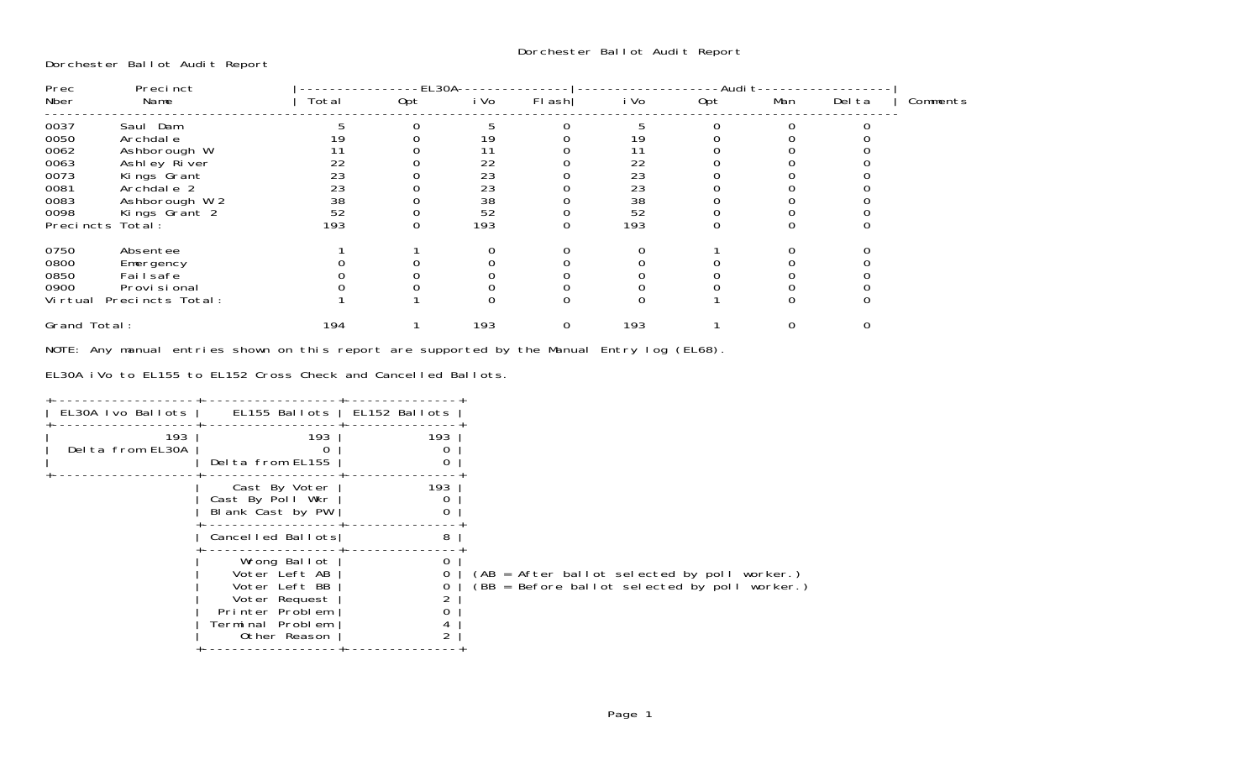Dorchester Ballot Audit Report

| Precinct<br>Prec |                  |       | -EL30A |          |          |                                         |          |     |        |          |
|------------------|------------------|-------|--------|----------|----------|-----------------------------------------|----------|-----|--------|----------|
| Nber             | Name             | Total | 0pt    | i Vo     | FI ash   | i Vo                                    | Opt      | Man | Del ta | Comments |
| 0037             | Saul Dam         |       |        |          | $\Omega$ |                                         | $\Omega$ |     |        |          |
| 0050             | Archdal e        |       |        | 19       |          | 19                                      |          |     |        |          |
| 0062             | Ashborough W     |       |        |          |          | 11                                      |          |     |        |          |
| 0063             | Ashley River     | 22    |        | 22       |          | 22                                      |          |     |        |          |
| 0073             | Kings Grant      | 23    |        | 23       |          | 23                                      |          |     |        |          |
| 0081             | Archdale 2       | 23    |        | 23       |          | 23                                      |          |     |        |          |
| 0083             | Ashborough W 2   | 38    |        | 38       |          | $\begin{array}{c} 38 \\ 52 \end{array}$ |          |     |        |          |
| 0098             | Kings Grant 2    | 52    |        | 52       |          |                                         |          |     |        |          |
|                  | Precincts Total: | 193   | 0      | 193      | 0        | 193                                     | 0        |     |        |          |
| 0750             | Absentee         |       |        | $\Omega$ | 0        | 0                                       |          |     |        |          |
| 0800             | Emergency        |       |        |          |          |                                         |          |     |        |          |
| 0850             | Fai I safe       |       |        |          |          |                                         |          |     |        |          |
| 0900             | Provi si onal    |       |        |          |          |                                         |          |     |        |          |
| Vi rtual         | Precincts Total: |       |        |          | $\Omega$ | $\Omega$                                |          |     |        |          |
| Grand Total:     |                  | 194   |        | 193      | 0        | 193                                     |          |     |        |          |

NOTE: Any manual entries shown on this report are supported by the Manual Entry log (EL68).

EL30A iVo to EL155 to EL152 Cross Check and Cancelled Ballots.

| EL30A Ivo Ballots       | EL155 Ballots   EL152 Ballots                                                                                          |                          |                                                                                               |
|-------------------------|------------------------------------------------------------------------------------------------------------------------|--------------------------|-----------------------------------------------------------------------------------------------|
| 193<br>Delta from EL30A | 193<br>Delta from EL155                                                                                                | 193<br>0                 |                                                                                               |
|                         | Cast By Voter<br>Cast By Poll Wkr<br>Blank Cast by PW                                                                  | 193<br>0                 |                                                                                               |
|                         | Cancelled Ballots                                                                                                      | 8                        |                                                                                               |
|                         | Wrong Ballot<br>Voter Left AB<br>Voter Left BB<br>Voter Request<br>Printer Problem<br>Terminal Problem<br>Other Reason | 0<br>4<br>$\mathfrak{D}$ | (AB = After ballot selected by poll worker.)<br>(BB = Before ballot selected by poll worker.) |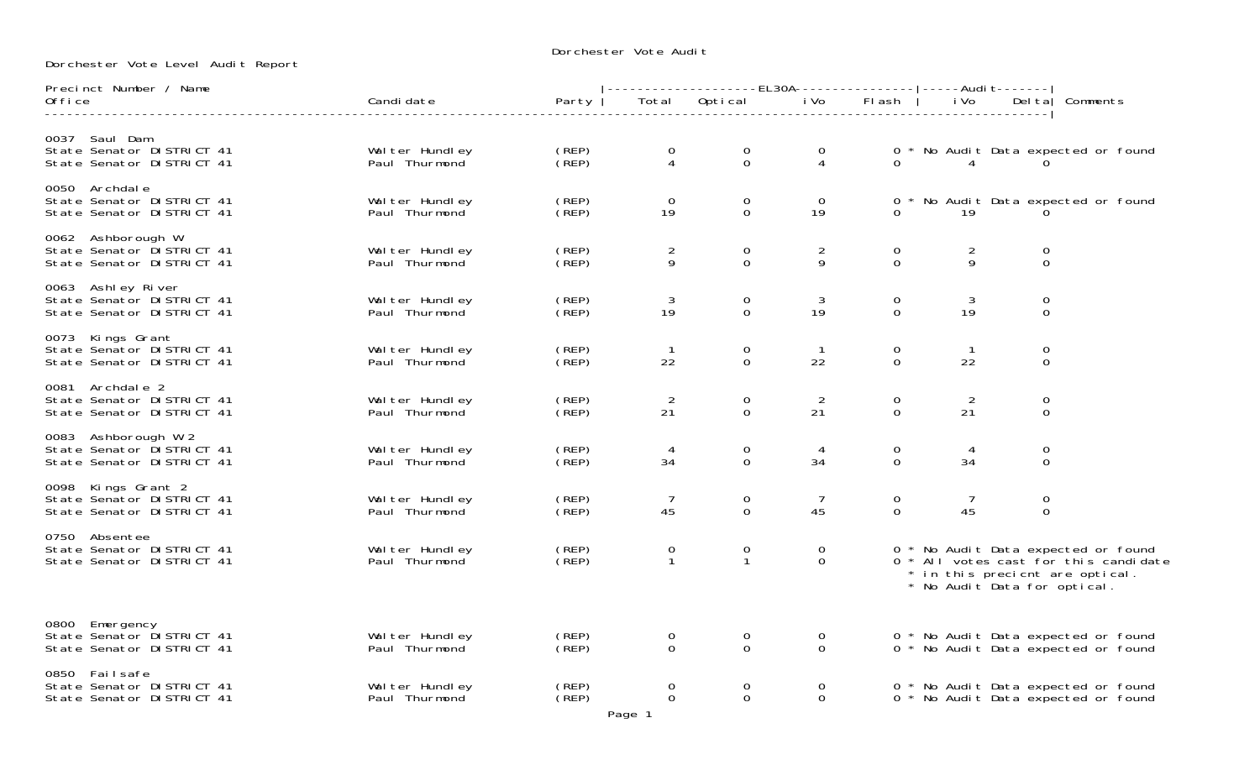Dorchester Vote Audi†

Dorchester Vote Level Audit Report

| Precinct Number / Name                                                        |                                  |                            | -------------------EL30A----------------- -----Audi t------- |                                  |                            |                         |                      |                                  |                                                                                                                 |
|-------------------------------------------------------------------------------|----------------------------------|----------------------------|--------------------------------------------------------------|----------------------------------|----------------------------|-------------------------|----------------------|----------------------------------|-----------------------------------------------------------------------------------------------------------------|
| Office                                                                        | Candi date                       | Party                      | Total                                                        | Optical iVo                      |                            | Flash                   | i Vo                 |                                  | Delta Comments                                                                                                  |
| 0037 Saul Dam<br>State Senator DISTRICT 41<br>State Senator DISTRICT 41       | Wal ter Hundley<br>Paul Thurmond | $($ REP $)$<br>(REP)       | $\overline{0}$<br>$\overline{4}$                             | $\mathbf 0$<br>$\overline{0}$    | $\mathbf 0$<br>4           |                         | $\sim$ 4             |                                  | 0 * No Audit Data expected or found                                                                             |
| 0050 Archdale<br>State Senator DISTRICT 41<br>State Senator DISTRICT 41       | Wal ter Hundley<br>Paul Thurmond | (REP)<br>CREP <sub>)</sub> | $\Omega$<br>19                                               | $\overline{0}$<br>$\overline{0}$ | $\overline{0}$<br>19       |                         | 19                   |                                  | 0 * No Audit Data expected or found                                                                             |
| 0062 Ashborough W<br>State Senator DISTRICT 41<br>State Senator DISTRICT 41   | Wal ter Hundley<br>Paul Thurmond | (REP)<br>(REP)             | $\frac{2}{9}$                                                | $\mathbf 0$<br>$\overline{0}$    | $\overline{2}$<br>9        | $\mathbf 0$<br>$\Omega$ | $\frac{2}{9}$        | $\mathbf 0$<br>$\overline{0}$    |                                                                                                                 |
| 0063 Ashley River<br>State Senator DISTRICT 41<br>State Senator DISTRICT 41   | Wal ter Hundley<br>Paul Thurmond | (REP)<br>(REP)             | 3<br>19                                                      | 0<br>$\Omega$                    | 3<br>19                    | 0<br>$\Omega$           | 3<br>19              | $\overline{0}$<br>$\overline{0}$ |                                                                                                                 |
| 0073 Kings Grant<br>State Senator DISTRICT 41<br>State Senator DISTRICT 41    | Wal ter Hundley<br>Paul Thurmond | (REP)<br>CREP <sub>)</sub> | $\overline{1}$<br>22                                         | $\mathbf 0$<br>$\overline{0}$    | $\overline{1}$<br>22       | 0<br>$\overline{O}$     | 22                   | $\mathbf 0$<br>$\mathbf 0$       |                                                                                                                 |
| 0081 Archdale 2<br>State Senator DI STRICT 41<br>State Senator DISTRICT 41    | Wal ter Hundley<br>Paul Thurmond | (REP)<br>(REP)             | $\overline{2}$<br>21                                         | 0<br>$\mathbf 0$                 | 2<br>21                    | 0<br>$\Omega$           | 2<br>21              | $\overline{0}$<br>$\mathbf 0$    |                                                                                                                 |
| 0083 Ashborough W 2<br>State Senator DISTRICT 41<br>State Senator DISTRICT 41 | Wal ter Hundley<br>Paul Thurmond | (REP)<br>(REP)             | -4<br>34                                                     | 0<br>$\mathbf 0$                 | 4<br>34                    | 0<br>$\Omega$           | 34                   | $\mathbf 0$<br>$\mathbf 0$       |                                                                                                                 |
| 0098 Kings Grant 2<br>State Senator DISTRICT 41<br>State Senator DI STRICT 41 | Wal ter Hundley<br>Paul Thurmond | (REP)<br>(REP)             | $\overline{7}$<br>45                                         | 0<br>$\mathbf 0$                 | $\overline{7}$<br>45       | 0<br>$\overline{0}$     | $\overline{7}$<br>45 | $\mathsf O$<br>$\mathbf 0$       |                                                                                                                 |
| 0750 Absentee<br>State Senator DISTRICT 41<br>State Senator DISTRICT 41       | Wal ter Hundley<br>Paul Thurmond | $($ REP $)$<br>(REP)       | $\mathbf 0$<br>$\mathbf{1}$                                  | 0<br>$\mathbf{1}$                | $\overline{0}$<br>$\Omega$ |                         |                      | * No Audit Data for optical.     | 0 * No Audit Data expected or found<br>0 * All votes cast for this candidate<br>* in this precient are optical. |
| 0800 Emergency<br>State Senator DISTRICT 41<br>State Senator DISTRICT 41      | Walter Hundley<br>Paul Thurmond  | (REP)<br>(REP)             | $\overline{0}$<br>$\Omega$                                   | $\overline{0}$<br>$\Omega$       | 0<br>$\Omega$              |                         |                      |                                  | 0 * No Audit Data expected or found<br>0 * No Audit Data expected or found                                      |
| 0850 Failsafe<br>State Senator DISTRICT 41<br>State Senator DI STRICT 41      | Wal ter Hundley<br>Paul Thurmond | (REP)<br>(REP)             | $\Omega$<br>$\Omega$<br>Page 1                               | $\overline{0}$<br>$\Omega$       | $\Omega$<br>$\Omega$       |                         |                      |                                  | 0 * No Audit Data expected or found<br>0 * No Audit Data expected or found                                      |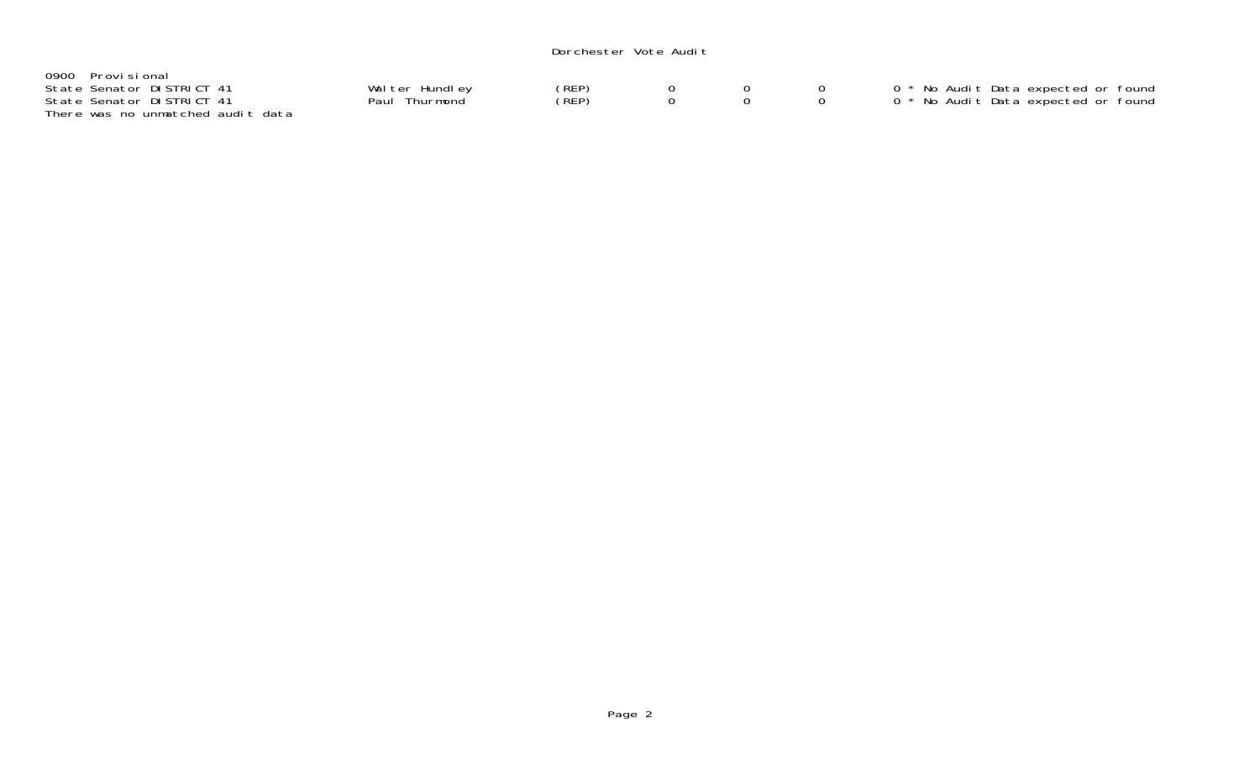### Dorchester Vote Audit

| 0900 Provisional                  |                |       |  |                                     |
|-----------------------------------|----------------|-------|--|-------------------------------------|
| State Senator DISTRICT 41         | Walter Hundley | (REP) |  | 0 * No Audit Data expected or found |
| State Senator DISTRICT 41         | Paul Thurmond  | (REP) |  | 0 * No Audit Data expected or found |
| There was no unmatched audit data |                |       |  |                                     |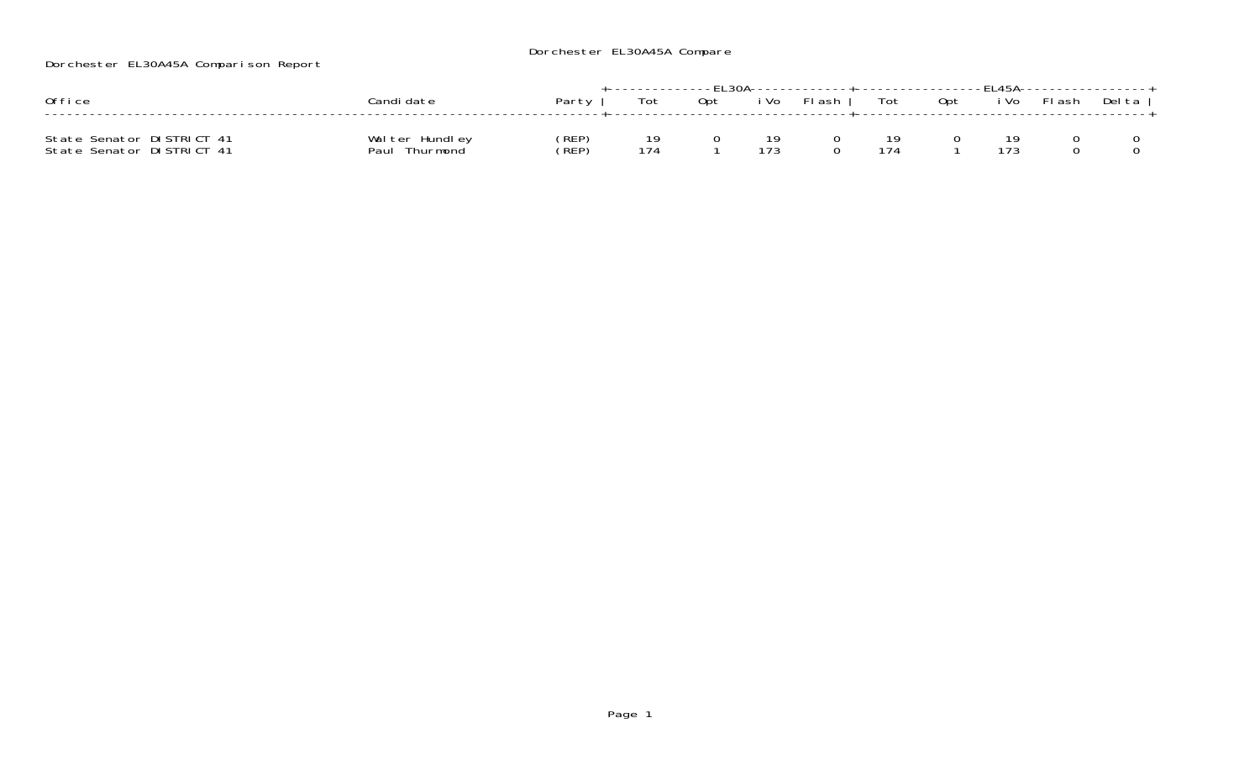# Dorchester EL30A45A Compare

Dorchester EL30A45A Comparison Report

| Office                                                 | `andi date                         | Party          | Tot | 0pt | i Vo      | .------------------------------FI 45A--------<br>Fl ash | Tot | Opt | i Vo | Flash | Delta |
|--------------------------------------------------------|------------------------------------|----------------|-----|-----|-----------|---------------------------------------------------------|-----|-----|------|-------|-------|
| State Senator DISTRICT 41<br>State Senator DISTRICT 41 | Walter Hundley<br>Paul<br>Thurmond | (REP)<br>(REP) | 174 |     | 10<br>173 |                                                         | 174 |     | 173  |       |       |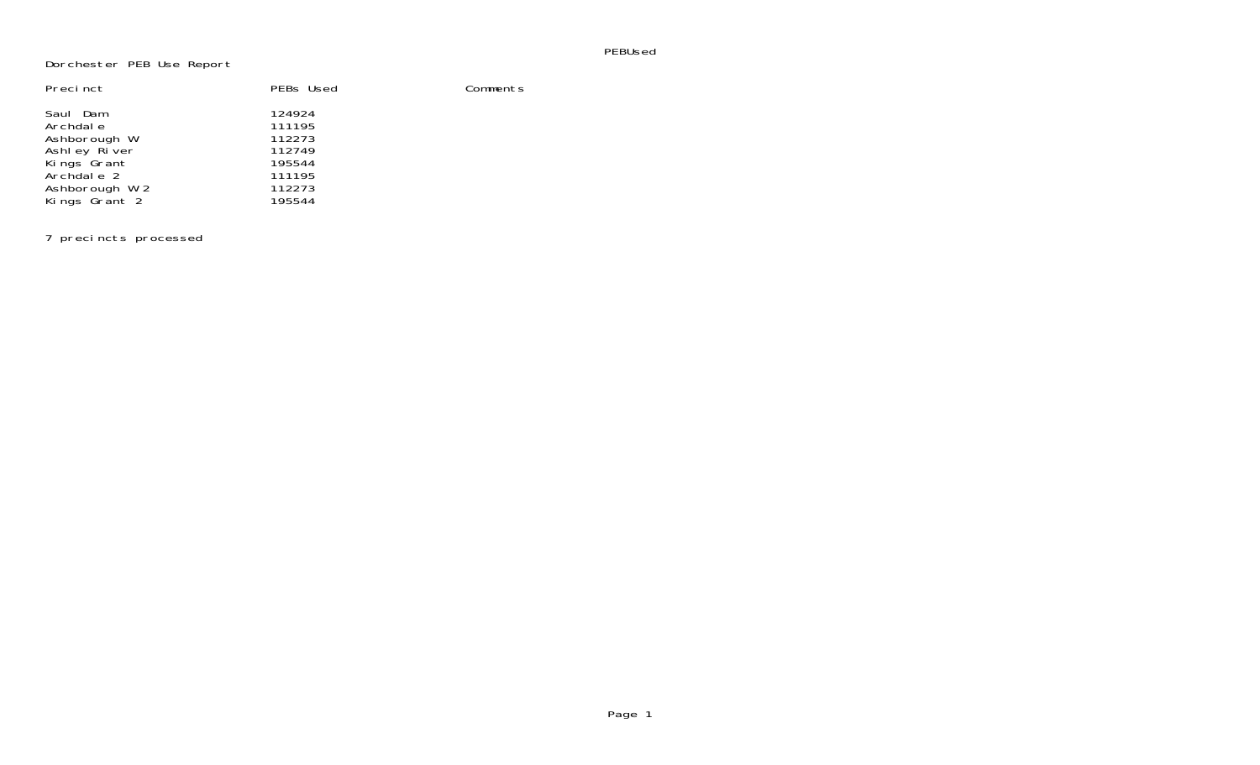#### PEBUsed

## Dorchester PEB Use Report

| Precinct                                                                                             | PEBs Used                                                          | Comments |
|------------------------------------------------------------------------------------------------------|--------------------------------------------------------------------|----------|
| Saul Dam<br>Archdal e<br>Ashborough W<br>Ashley River<br>Kings Grant<br>Archdale 2<br>Ashborough W 2 | 124924<br>111195<br>112273<br>112749<br>195544<br>111195<br>112273 |          |
| Kings Grant 2                                                                                        | 195544                                                             |          |

7 precincts processed